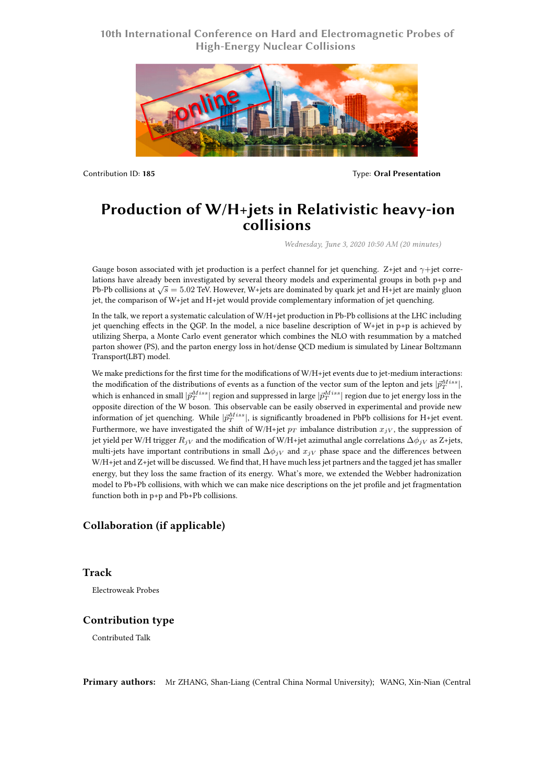## **10th International Conference on Hard and Electromagnetic Probes of High-Energy Nuclear Collisions**



Contribution ID: **185** Type: **Oral Presentation**

# **Production of W/H+jets in Relativistic heavy-ion collisions**

*Wednesday, June 3, 2020 10:50 AM (20 minutes)*

Gauge boson associated with jet production is a perfect channel for jet quenching. Z+jet and *γ*+jet correlations have already been investigated by several theory models and experimental groups in both p+p and Pb-Pb collisions at *√ s* = 5*.*02 TeV. However, W+jets are dominated by quark jet and H+jet are mainly gluon jet, the comparison of W+jet and H+jet would provide complementary information of jet quenching.

In the talk, we report a systematic calculation of W/H+jet production in Pb-Pb collisions at the LHC including jet quenching effects in the QGP. In the model, a nice baseline description of W+jet in p+p is achieved by utilizing Sherpa, a Monte Carlo event generator which combines the NLO with resummation by a matched parton shower (PS), and the parton energy loss in hot/dense QCD medium is simulated by Linear Boltzmann Transport(LBT) model.

We make predictions for the first time for the modifications of W/H+jet events due to jet-medium interactions: the modification of the distributions of events as a function of the vector sum of the lepton and jets  $|\vec{p}_T^{Miss}|$ , which is enhanced in small  $|\vec{p}_{T}^{Miss}|$  region and suppressed in large  $|\vec{p}_{T}^{Miss}|$  region due to jet energy loss in the opposite direction of the W boson. This observable can be easily observed in experimental and provide new information of jet quenching. While  $|\vec{p}_{T}^{Miss}|$ , is significantly broadened in PbPb collisions for H+jet event. Furthermore, we have investigated the shift of W/H+jet  $p_T$  imbalance distribution  $x_{jV}$ , the suppression of jet yield per W/H trigger  $R_j$ <sub>V</sub> and the modification of W/H+jet azimuthal angle correlations  $\Delta \phi_j$ <sub>V</sub> as Z+jets, multi-jets have important contributions in small  $\Delta\phi_{jV}$  and  $x_{jV}$  phase space and the differences between W/H+jet and Z+jet will be discussed. We find that, H have much less jet partners and the tagged jet has smaller energy, but they loss the same fraction of its energy. What's more, we extended the Webber hadronization model to Pb+Pb collisions, with which we can make nice descriptions on the jet profile and jet fragmentation function both in p+p and Pb+Pb collisions.

## **Collaboration (if applicable)**

### **Track**

Electroweak Probes

### **Contribution type**

Contributed Talk

**Primary authors:** Mr ZHANG, Shan-Liang (Central China Normal University); WANG, Xin-Nian (Central